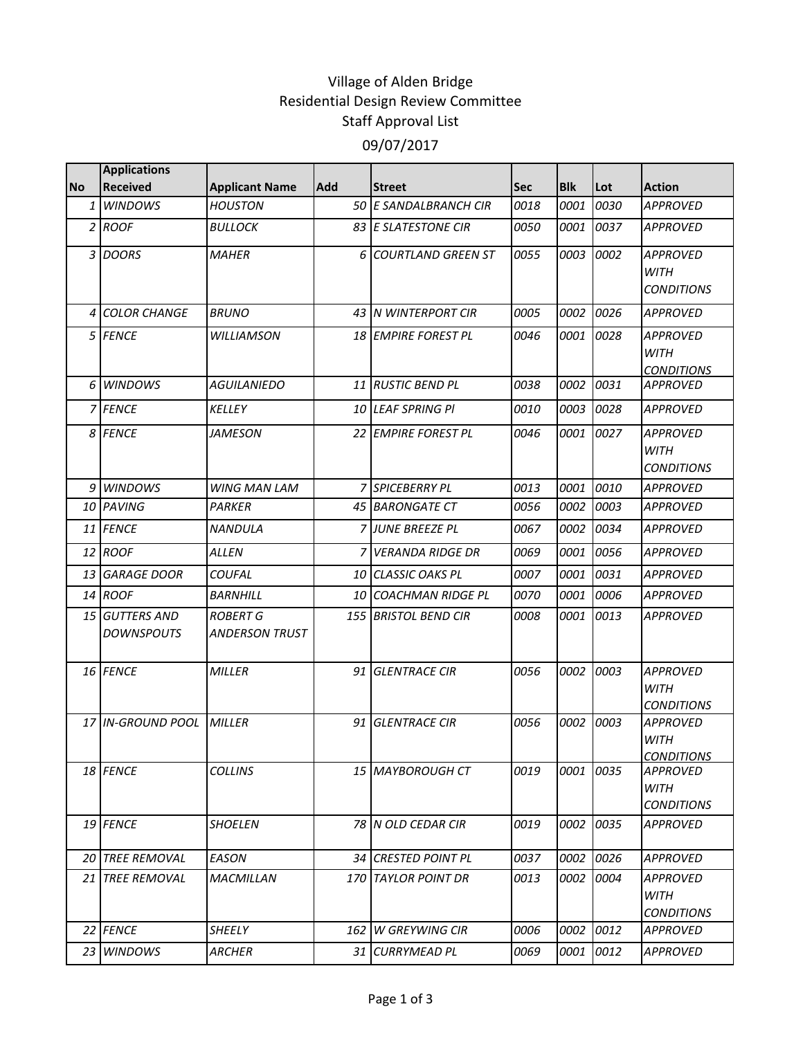## Village of Alden Bridge Residential Design Review Committee Staff Approval List 09/07/2017

|           | <b>Applications</b>                     |                                          |     |                           |            |            |      |                                                     |
|-----------|-----------------------------------------|------------------------------------------|-----|---------------------------|------------|------------|------|-----------------------------------------------------|
| <b>No</b> | <b>Received</b>                         | <b>Applicant Name</b>                    | Add | <b>Street</b>             | <b>Sec</b> | <b>Blk</b> | Lot  | <b>Action</b>                                       |
| 1         | <b>WINDOWS</b>                          | <b>HOUSTON</b>                           |     | 50 E SANDALBRANCH CIR     | 0018       | 0001       | 0030 | <b>APPROVED</b>                                     |
|           | $2$ ROOF                                | <b>BULLOCK</b>                           |     | 83 E SLATESTONE CIR       | 0050       | 0001       | 0037 | <b>APPROVED</b>                                     |
| 3         | DOORS                                   | <b>MAHER</b>                             | 6   | <b>COURTLAND GREEN ST</b> | 0055       | 0003       | 0002 | <b>APPROVED</b><br><b>WITH</b><br><b>CONDITIONS</b> |
| 4         | <b>COLOR CHANGE</b>                     | <b>BRUNO</b>                             | 43  | <b>N WINTERPORT CIR</b>   | 0005       | 0002       | 0026 | <b>APPROVED</b>                                     |
|           | 5 FENCE                                 | WILLIAMSON                               |     | 18 EMPIRE FOREST PL       | 0046       | 0001       | 0028 | <b>APPROVED</b><br><b>WITH</b><br><b>CONDITIONS</b> |
| 6         | <b>WINDOWS</b>                          | AGUILANIEDO                              |     | <b>11 RUSTIC BEND PL</b>  | 0038       | 0002       | 0031 | <b>APPROVED</b>                                     |
|           | <b>7 FENCE</b>                          | <b>KELLEY</b>                            |     | 10 LEAF SPRING PI         | 0010       | 0003       | 0028 | <b>APPROVED</b>                                     |
| 8         | <b>FENCE</b>                            | <i><b>JAMESON</b></i>                    | 22  | <b>EMPIRE FOREST PL</b>   | 0046       | 0001       | 0027 | <b>APPROVED</b><br><b>WITH</b><br><b>CONDITIONS</b> |
| 9         | <b>WINDOWS</b>                          | <b>WING MAN LAM</b>                      | 7   | <b>SPICEBERRY PL</b>      | 0013       | 0001       | 0010 | <b>APPROVED</b>                                     |
| 10        | PAVING                                  | PARKER                                   | 45  | <b>BARONGATE CT</b>       | 0056       | 0002       | 0003 | <b>APPROVED</b>                                     |
| 11        | <b>FENCE</b>                            | <b>NANDULA</b>                           |     | <b>JUNE BREEZE PL</b>     | 0067       | 0002       | 0034 | <b>APPROVED</b>                                     |
| 12        | ROOF                                    | ALLEN                                    |     | <b>VERANDA RIDGE DR</b>   | 0069       | 0001       | 0056 | <b>APPROVED</b>                                     |
| 13        | <b>GARAGE DOOR</b>                      | <b>COUFAL</b>                            | 10  | <b>CLASSIC OAKS PL</b>    | 0007       | 0001       | 0031 | <b>APPROVED</b>                                     |
| 14        | ROOF                                    | <b>BARNHILL</b>                          | 10  | <b>COACHMAN RIDGE PL</b>  | 0070       | 0001       | 0006 | <b>APPROVED</b>                                     |
| 15        | <b>GUTTERS AND</b><br><b>DOWNSPOUTS</b> | <b>ROBERT G</b><br><b>ANDERSON TRUST</b> | 155 | <b>BRISTOL BEND CIR</b>   | 0008       | 0001       | 0013 | APPROVED                                            |
|           | 16 FENCE                                | <b>MILLER</b>                            | 91  | <b>GLENTRACE CIR</b>      | 0056       | 0002       | 0003 | <b>APPROVED</b><br><b>WITH</b><br><b>CONDITIONS</b> |
|           | 17 IN-GROUND POOL                       | MILLER                                   | 91  | <b>GLENTRACE CIR</b>      | 0056       | 0002       | 0003 | <b>APPROVED</b><br><b>WITH</b><br><b>CONDITIONS</b> |
|           | 18 FENCE                                | <b>COLLINS</b>                           |     | 15 MAYBOROUGH CT          | 0019       | 0001       | 0035 | <b>APPROVED</b><br>WITH<br><b>CONDITIONS</b>        |
|           | 19 FENCE                                | <b>SHOELEN</b>                           |     | 78 N OLD CEDAR CIR        | 0019       | 0002       | 0035 | <b>APPROVED</b>                                     |
| 20        | <b>TREE REMOVAL</b>                     | EASON                                    |     | 34 CRESTED POINT PL       | 0037       | 0002       | 0026 | <b>APPROVED</b>                                     |
| 21        | <b>TREE REMOVAL</b>                     | <i>MACMILLAN</i>                         |     | 170 TAYLOR POINT DR       | 0013       | 0002       | 0004 | <b>APPROVED</b><br>WITH<br><i>CONDITIONS</i>        |
|           | 22 FENCE                                | SHEELY                                   |     | 162 IW GREYWING CIR       | 0006       | 0002       | 0012 | <b>APPROVED</b>                                     |
|           | 23 WINDOWS                              | ARCHER                                   |     | 31 CURRYMEAD PL           | 0069       | 0001       | 0012 | <b>APPROVED</b>                                     |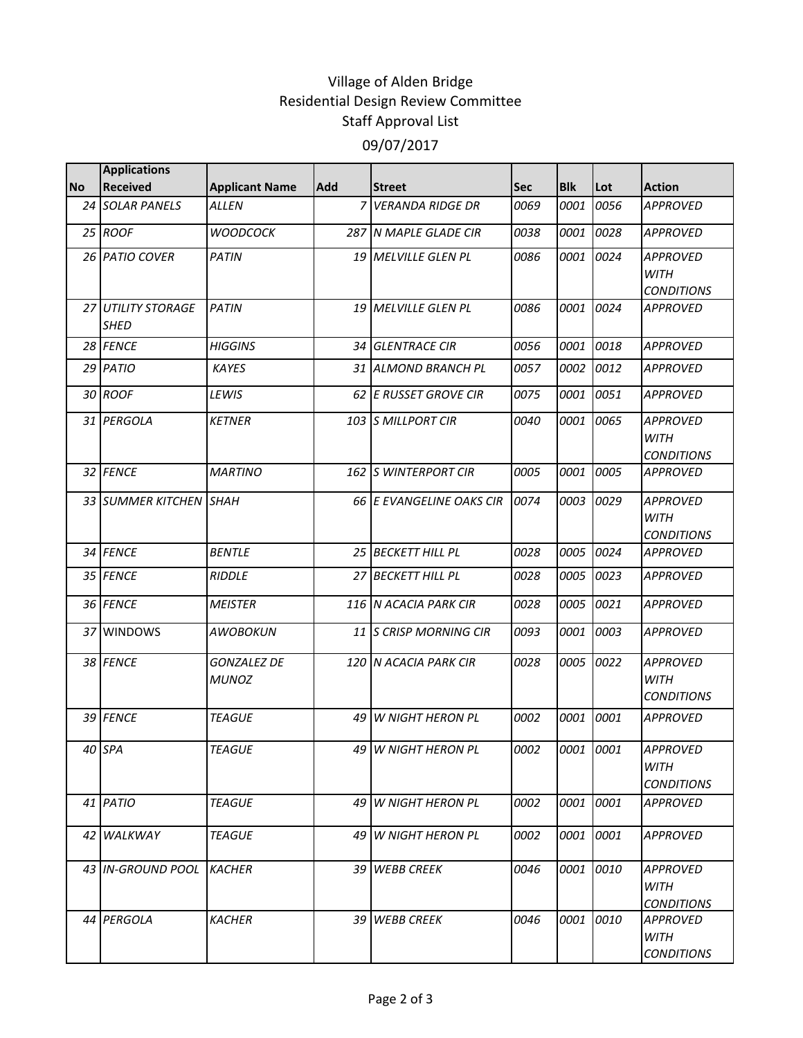## Village of Alden Bridge Residential Design Review Committee Staff Approval List 09/07/2017

|           | <b>Applications</b>               |                                    |                |                            |      |            |           |                                                     |
|-----------|-----------------------------------|------------------------------------|----------------|----------------------------|------|------------|-----------|-----------------------------------------------------|
| <b>No</b> | <b>Received</b>                   | <b>Applicant Name</b>              | <b>Add</b>     | <b>Street</b>              | Sec  | <b>Blk</b> | Lot       | <b>Action</b>                                       |
|           | 24 SOLAR PANELS                   | <b>ALLEN</b>                       | $\overline{7}$ | <b>VERANDA RIDGE DR</b>    | 0069 | 0001       | 0056      | <b>APPROVED</b>                                     |
|           | 25 ROOF                           | <b>WOODCOCK</b>                    |                | 287 N MAPLE GLADE CIR      | 0038 | 0001       | 0028      | <b>APPROVED</b>                                     |
|           | 26 PATIO COVER                    | PATIN                              |                | 19 MELVILLE GLEN PL        | 0086 | 0001       | 0024      | <b>APPROVED</b><br><b>WITH</b><br><b>CONDITIONS</b> |
|           | 27 UTILITY STORAGE<br><b>SHED</b> | PATIN                              |                | <b>19 MELVILLE GLEN PL</b> | 0086 | 0001       | 0024      | <b>APPROVED</b>                                     |
|           | 28 FENCE                          | <b>HIGGINS</b>                     |                | 34 GLENTRACE CIR           | 0056 | 0001       | 0018      | <b>APPROVED</b>                                     |
|           | 29 PATIO                          | <b>KAYES</b>                       |                | 31 ALMOND BRANCH PL        | 0057 | 0002       | 0012      | <b>APPROVED</b>                                     |
|           | 30 ROOF                           | LEWIS                              |                | 62 E RUSSET GROVE CIR      | 0075 | 0001       | 0051      | <b>APPROVED</b>                                     |
|           | 31 PERGOLA                        | <b>KETNER</b>                      |                | 103 S MILLPORT CIR         | 0040 | 0001       | 0065      | <b>APPROVED</b><br><b>WITH</b><br><b>CONDITIONS</b> |
|           | 32 FENCE                          | <b>MARTINO</b>                     |                | 162 S WINTERPORT CIR       | 0005 | 0001       | 0005      | <b>APPROVED</b>                                     |
|           | 33 SUMMER KITCHEN SHAH            |                                    |                | 66 E EVANGELINE OAKS CIR   | 0074 | 0003       | 0029      | <b>APPROVED</b><br><b>WITH</b><br><b>CONDITIONS</b> |
|           | 34 FENCE                          | <b>BENTLE</b>                      |                | 25 BECKETT HILL PL         | 0028 | 0005       | 0024      | <b>APPROVED</b>                                     |
|           | 35 FENCE                          | <b>RIDDLE</b>                      |                | 27 BECKETT HILL PL         | 0028 | 0005       | 0023      | <b>APPROVED</b>                                     |
|           | 36 FENCE                          | <b>MEISTER</b>                     |                | 116 N ACACIA PARK CIR      | 0028 | 0005       | 0021      | <b>APPROVED</b>                                     |
|           | 37 WINDOWS                        | AWOBOKUN                           |                | 11 S CRISP MORNING CIR     | 0093 | 0001       | 0003      | <b>APPROVED</b>                                     |
|           | 38 FENCE                          | <b>GONZALEZ DE</b><br><b>MUNOZ</b> |                | 120 N ACACIA PARK CIR      | 0028 |            | 0005 0022 | <b>APPROVED</b><br>WITH<br><b>CONDITIONS</b>        |
|           | 39 FENCE                          | <b>TEAGUE</b>                      | 49             | <b>W NIGHT HERON PL</b>    | 0002 | 0001       | 0001      | <b>APPROVED</b>                                     |
|           | 40 SPA                            | <b>TEAGUE</b>                      |                | 49 W NIGHT HERON PL        | 0002 |            | 0001 0001 | <b>APPROVED</b><br><b>WITH</b><br><b>CONDITIONS</b> |
|           | 41 PATIO                          | <b>TEAGUE</b>                      |                | 49 W NIGHT HERON PL        | 0002 |            | 0001 0001 | APPROVED                                            |
|           | 42 WALKWAY                        | <b>TEAGUE</b>                      |                | 49 IW NIGHT HERON PL       | 0002 |            | 0001 0001 | <b>APPROVED</b>                                     |
|           | 43 IN-GROUND POOL KACHER          |                                    |                | 39 WEBB CREEK              | 0046 | 0001       | 0010      | <b>APPROVED</b><br><b>WITH</b><br><b>CONDITIONS</b> |
|           | 44 PERGOLA                        | <b>KACHER</b>                      |                | 39 WEBB CREEK              | 0046 |            | 0001 0010 | <b>APPROVED</b><br><b>WITH</b><br><b>CONDITIONS</b> |